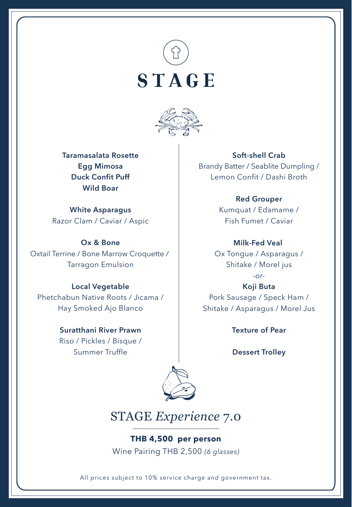



**Taramasalata Rosette Egg Mimosa Duck Confit Puff Wild Boar**

**White Asparagus** Razor Clam / Caviar / Aspic

**Ox & Bone** Oxtail Terrine / Bone Marrow Croquette / Tarragon Emulsion

### **Local Vegetable**

Phetchabun Native Roots / Jicama / Hay Smoked Ajo Blanco

# **Suratthani River Prawn**

Riso / Pickles / Bisque / Summer Truffle

#### **Soft-shell Crab**

Brandy Batter / Seablite Dumpling / Lemon Confit / Dashi Broth

#### **Red Grouper**

Kumquat / Edamame / Fish Fumet / Caviar

### **Milk-Fed Veal**

Ox Tongue / Asparagus / Shitake / Morel jus

*-or-*

**Koji Buta** Pork Sausage / Speck Ham / Shitake / Asparagus / Morel Jus

**Texture of Pear**

**Dessert Trolley**



## STAGE *Experience* 7.0

**THB 4,500 per person** Wine Pairing THB 2,500 *(6 glasses)*

All prices subject to 10% service charge and government tax.